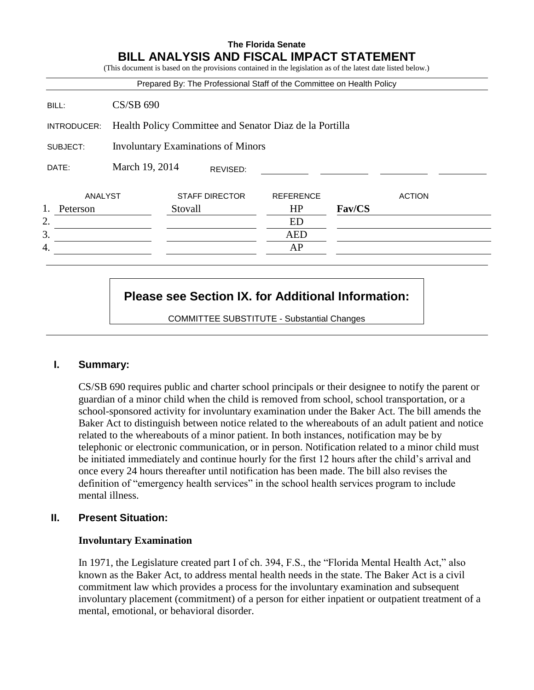# **The Florida Senate BILL ANALYSIS AND FISCAL IMPACT STATEMENT**

(This document is based on the provisions contained in the legislation as of the latest date listed below.)

|                                                       |                                                         | Prepared By: The Professional Staff of the Committee on Health Policy |                  |        |               |
|-------------------------------------------------------|---------------------------------------------------------|-----------------------------------------------------------------------|------------------|--------|---------------|
| BILL:                                                 | <b>CS/SB 690</b>                                        |                                                                       |                  |        |               |
| INTRODUCER:                                           | Health Policy Committee and Senator Diaz de la Portilla |                                                                       |                  |        |               |
| <b>Involuntary Examinations of Minors</b><br>SUBJECT: |                                                         |                                                                       |                  |        |               |
| DATE:                                                 | March 19, 2014                                          | REVISED:                                                              |                  |        |               |
| ANALYST                                               |                                                         |                                                                       |                  |        |               |
|                                                       |                                                         | <b>STAFF DIRECTOR</b>                                                 | <b>REFERENCE</b> |        | <b>ACTION</b> |
| Peterson                                              |                                                         | Stovall                                                               | HP               | Fav/CS |               |
|                                                       |                                                         |                                                                       | ED               |        |               |
| 2.<br>3.                                              |                                                         |                                                                       | <b>AED</b>       |        |               |

# **Please see Section IX. for Additional Information:**

COMMITTEE SUBSTITUTE - Substantial Changes

# **I. Summary:**

CS/SB 690 requires public and charter school principals or their designee to notify the parent or guardian of a minor child when the child is removed from school, school transportation, or a school-sponsored activity for involuntary examination under the Baker Act. The bill amends the Baker Act to distinguish between notice related to the whereabouts of an adult patient and notice related to the whereabouts of a minor patient. In both instances, notification may be by telephonic or electronic communication, or in person. Notification related to a minor child must be initiated immediately and continue hourly for the first 12 hours after the child's arrival and once every 24 hours thereafter until notification has been made. The bill also revises the definition of "emergency health services" in the school health services program to include mental illness.

# **II. Present Situation:**

#### **Involuntary Examination**

In 1971, the Legislature created part I of ch. 394, F.S., the "Florida Mental Health Act," also known as the Baker Act, to address mental health needs in the state. The Baker Act is a civil commitment law which provides a process for the involuntary examination and subsequent involuntary placement (commitment) of a person for either inpatient or outpatient treatment of a mental, emotional, or behavioral disorder.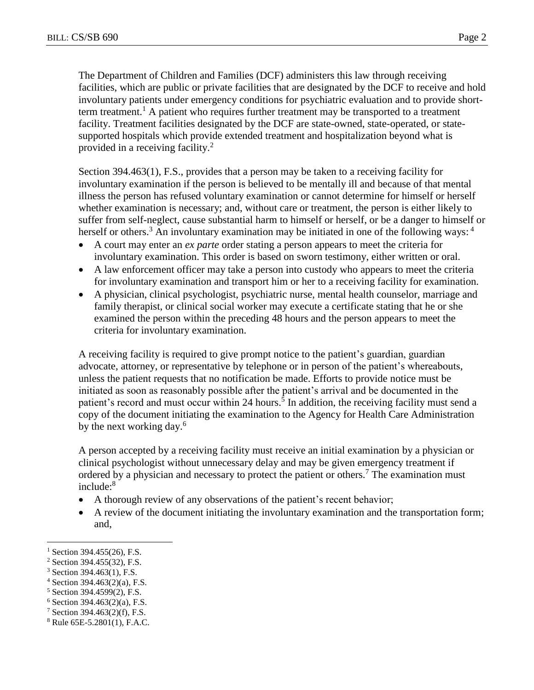The Department of Children and Families (DCF) administers this law through receiving facilities, which are public or private facilities that are designated by the DCF to receive and hold involuntary patients under emergency conditions for psychiatric evaluation and to provide shortterm treatment.<sup>1</sup> A patient who requires further treatment may be transported to a treatment facility. Treatment facilities designated by the DCF are state-owned, state-operated, or statesupported hospitals which provide extended treatment and hospitalization beyond what is provided in a receiving facility.<sup>2</sup>

Section 394.463(1), F.S., provides that a person may be taken to a receiving facility for involuntary examination if the person is believed to be mentally ill and because of that mental illness the person has refused voluntary examination or cannot determine for himself or herself whether examination is necessary; and, without care or treatment, the person is either likely to suffer from self-neglect, cause substantial harm to himself or herself, or be a danger to himself or herself or others.<sup>3</sup> An involuntary examination may be initiated in one of the following ways: <sup>4</sup>

- A court may enter an *ex parte* order stating a person appears to meet the criteria for involuntary examination. This order is based on sworn testimony, either written or oral.
- A law enforcement officer may take a person into custody who appears to meet the criteria for involuntary examination and transport him or her to a receiving facility for examination.
- A physician, clinical psychologist, psychiatric nurse, mental health counselor, marriage and family therapist, or clinical social worker may execute a certificate stating that he or she examined the person within the preceding 48 hours and the person appears to meet the criteria for involuntary examination.

A receiving facility is required to give prompt notice to the patient's guardian, guardian advocate, attorney, or representative by telephone or in person of the patient's whereabouts, unless the patient requests that no notification be made. Efforts to provide notice must be initiated as soon as reasonably possible after the patient's arrival and be documented in the patient's record and must occur within 24 hours.<sup>5</sup> In addition, the receiving facility must send a copy of the document initiating the examination to the Agency for Health Care Administration by the next working day.<sup>6</sup>

A person accepted by a receiving facility must receive an initial examination by a physician or clinical psychologist without unnecessary delay and may be given emergency treatment if ordered by a physician and necessary to protect the patient or others.<sup>7</sup> The examination must include:<sup>8</sup>

- A thorough review of any observations of the patient's recent behavior;
- A review of the document initiating the involuntary examination and the transportation form; and,

 $\overline{a}$ 

 $1$  Section 394.455(26), F.S.

<sup>2</sup> Section 394.455(32), F.S.

<sup>3</sup> Section 394.463(1), F.S.

 $4$  Section 394.463(2)(a), F.S.

<sup>5</sup> Section 394.4599(2), F.S.

 $6$  Section 394.463(2)(a), F.S.

<sup>7</sup> Section 394.463(2)(f), F.S.

<sup>8</sup> Rule 65E-5.2801(1), F.A.C.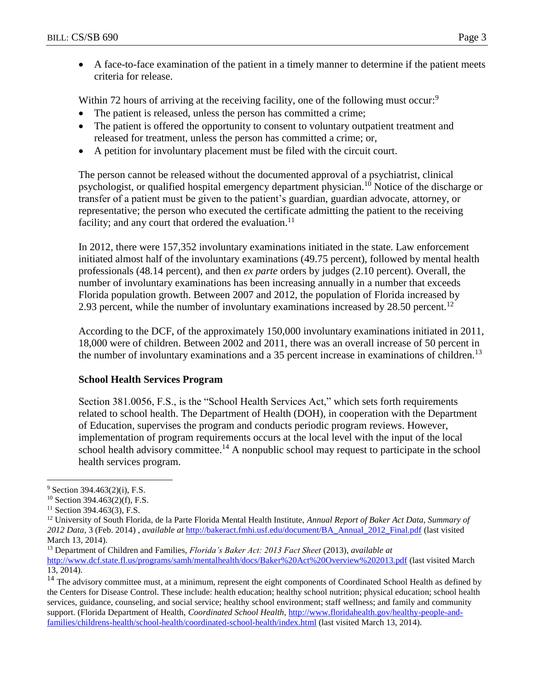A face-to-face examination of the patient in a timely manner to determine if the patient meets criteria for release.

Within 72 hours of arriving at the receiving facility, one of the following must occur:<sup>9</sup>

- The patient is released, unless the person has committed a crime;
- The patient is offered the opportunity to consent to voluntary outpatient treatment and released for treatment, unless the person has committed a crime; or,
- A petition for involuntary placement must be filed with the circuit court.

The person cannot be released without the documented approval of a psychiatrist, clinical psychologist, or qualified hospital emergency department physician.<sup>10</sup> Notice of the discharge or transfer of a patient must be given to the patient's guardian, guardian advocate, attorney, or representative; the person who executed the certificate admitting the patient to the receiving facility; and any court that ordered the evaluation.<sup>11</sup>

In 2012, there were 157,352 involuntary examinations initiated in the state. Law enforcement initiated almost half of the involuntary examinations (49.75 percent), followed by mental health professionals (48.14 percent), and then *ex parte* orders by judges (2.10 percent). Overall, the number of involuntary examinations has been increasing annually in a number that exceeds Florida population growth. Between 2007 and 2012, the population of Florida increased by 2.93 percent, while the number of involuntary examinations increased by  $28.50$  percent.<sup>12</sup>

According to the DCF, of the approximately 150,000 involuntary examinations initiated in 2011, 18,000 were of children. Between 2002 and 2011, there was an overall increase of 50 percent in the number of involuntary examinations and a 35 percent increase in examinations of children.<sup>13</sup>

#### **School Health Services Program**

Section 381.0056, F.S., is the "School Health Services Act," which sets forth requirements related to school health. The Department of Health (DOH), in cooperation with the Department of Education, supervises the program and conducts periodic program reviews. However, implementation of program requirements occurs at the local level with the input of the local school health advisory committee.<sup>14</sup> A nonpublic school may request to participate in the school health services program.

 $\overline{a}$ 

 $9$  Section 394.463(2)(i), F.S.

<sup>10</sup> Section 394.463(2)(f), F.S.

<sup>&</sup>lt;sup>11</sup> Section 394.463(3), F.S.

<sup>12</sup> University of South Florida, de la Parte Florida Mental Health Institute, *Annual Report of Baker Act Data, Summary of 2012 Data*, 3 (Feb. 2014) , *available at* [http://bakeract.fmhi.usf.edu/document/BA\\_Annual\\_2012\\_Final.pdf](http://bakeract.fmhi.usf.edu/document/BA_Annual_2012_Final.pdf) (last visited March 13, 2014).

<sup>13</sup> Department of Children and Families, *Florida's Baker Act: 2013 Fact Sheet* (2013), *available at*

<http://www.dcf.state.fl.us/programs/samh/mentalhealth/docs/Baker%20Act%20Overview%202013.pdf> (last visited March 13, 2014).

<sup>&</sup>lt;sup>14</sup> The advisory committee must, at a minimum, represent the eight components of Coordinated School Health as defined by the Centers for Disease Control. These include: health education; healthy school nutrition; physical education; school health services, guidance, counseling, and social service; healthy school environment; staff wellness; and family and community support. (Florida Department of Health, *Coordinated School Health,* [http://www.floridahealth.gov/healthy-people-and](http://www.floridahealth.gov/healthy-people-and-families/childrens-health/school-health/coordinated-school-health/index.html)[families/childrens-health/school-health/coordinated-school-health/index.html](http://www.floridahealth.gov/healthy-people-and-families/childrens-health/school-health/coordinated-school-health/index.html) (last visited March 13, 2014).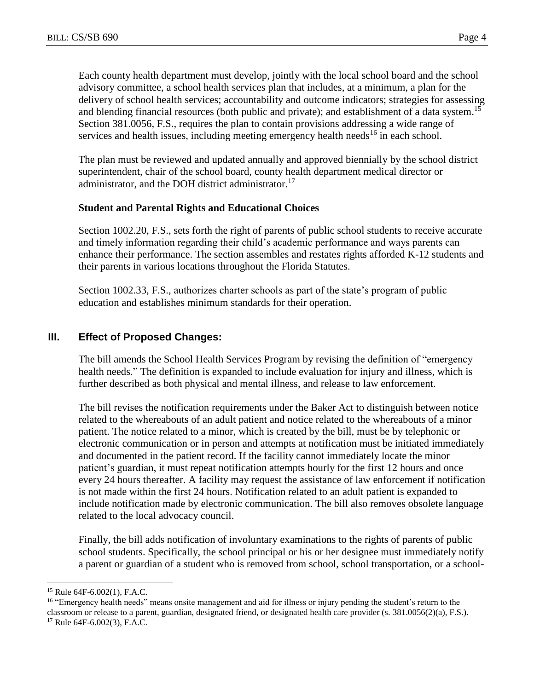Each county health department must develop, jointly with the local school board and the school advisory committee, a school health services plan that includes, at a minimum, a plan for the delivery of school health services; accountability and outcome indicators; strategies for assessing and blending financial resources (both public and private); and establishment of a data system.<sup>15</sup> Section 381.0056, F.S., requires the plan to contain provisions addressing a wide range of services and health issues, including meeting emergency health needs<sup>16</sup> in each school.

The plan must be reviewed and updated annually and approved biennially by the school district superintendent, chair of the school board, county health department medical director or administrator, and the DOH district administrator.<sup>17</sup>

# **Student and Parental Rights and Educational Choices**

Section 1002.20, F.S., sets forth the right of parents of public school students to receive accurate and timely information regarding their child's academic performance and ways parents can enhance their performance. The section assembles and restates rights afforded K-12 students and their parents in various locations throughout the Florida Statutes.

Section 1002.33, F.S., authorizes charter schools as part of the state's program of public education and establishes minimum standards for their operation.

# **III. Effect of Proposed Changes:**

The bill amends the School Health Services Program by revising the definition of "emergency health needs." The definition is expanded to include evaluation for injury and illness, which is further described as both physical and mental illness, and release to law enforcement.

The bill revises the notification requirements under the Baker Act to distinguish between notice related to the whereabouts of an adult patient and notice related to the whereabouts of a minor patient. The notice related to a minor, which is created by the bill, must be by telephonic or electronic communication or in person and attempts at notification must be initiated immediately and documented in the patient record. If the facility cannot immediately locate the minor patient's guardian, it must repeat notification attempts hourly for the first 12 hours and once every 24 hours thereafter. A facility may request the assistance of law enforcement if notification is not made within the first 24 hours. Notification related to an adult patient is expanded to include notification made by electronic communication. The bill also removes obsolete language related to the local advocacy council.

Finally, the bill adds notification of involuntary examinations to the rights of parents of public school students. Specifically, the school principal or his or her designee must immediately notify a parent or guardian of a student who is removed from school, school transportation, or a school-

 $\overline{a}$ 

<sup>15</sup> Rule 64F-6.002(1), F.A.C.

<sup>&</sup>lt;sup>16</sup> "Emergency health needs" means onsite management and aid for illness or injury pending the student's return to the classroom or release to a parent, guardian, designated friend, or designated health care provider (s. 381.0056(2)(a), F.S.).

<sup>17</sup> Rule 64F-6.002(3), F.A.C.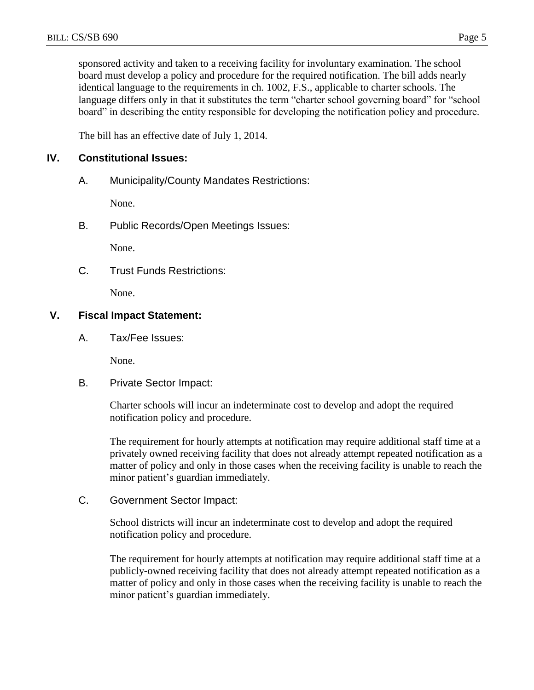sponsored activity and taken to a receiving facility for involuntary examination. The school board must develop a policy and procedure for the required notification. The bill adds nearly identical language to the requirements in ch. 1002, F.S., applicable to charter schools. The language differs only in that it substitutes the term "charter school governing board" for "school board" in describing the entity responsible for developing the notification policy and procedure.

The bill has an effective date of July 1, 2014.

## **IV. Constitutional Issues:**

A. Municipality/County Mandates Restrictions:

None.

B. Public Records/Open Meetings Issues:

None.

C. Trust Funds Restrictions:

None.

#### **V. Fiscal Impact Statement:**

A. Tax/Fee Issues:

None.

B. Private Sector Impact:

Charter schools will incur an indeterminate cost to develop and adopt the required notification policy and procedure.

The requirement for hourly attempts at notification may require additional staff time at a privately owned receiving facility that does not already attempt repeated notification as a matter of policy and only in those cases when the receiving facility is unable to reach the minor patient's guardian immediately.

C. Government Sector Impact:

School districts will incur an indeterminate cost to develop and adopt the required notification policy and procedure.

The requirement for hourly attempts at notification may require additional staff time at a publicly-owned receiving facility that does not already attempt repeated notification as a matter of policy and only in those cases when the receiving facility is unable to reach the minor patient's guardian immediately.